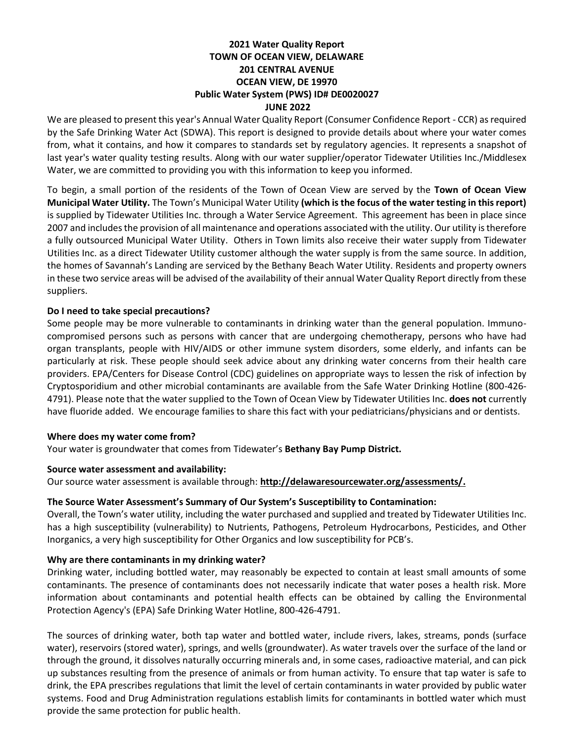### **2021 Water Quality Report TOWN OF OCEAN VIEW, DELAWARE 201 CENTRAL AVENUE OCEAN VIEW, DE 19970 Public Water System (PWS) ID# DE0020027 JUNE 2022**

We are pleased to present this year's Annual Water Quality Report (Consumer Confidence Report - CCR) as required by the Safe Drinking Water Act (SDWA). This report is designed to provide details about where your water comes from, what it contains, and how it compares to standards set by regulatory agencies. It represents a snapshot of last year's water quality testing results. Along with our water supplier/operator Tidewater Utilities Inc./Middlesex Water, we are committed to providing you with this information to keep you informed.

To begin, a small portion of the residents of the Town of Ocean View are served by the **Town of Ocean View Municipal Water Utility.** The Town's Municipal Water Utility **(which is the focus of the water testing in thisreport)** is supplied by Tidewater Utilities Inc. through a Water Service Agreement. This agreement has been in place since 2007 and includes the provision of all maintenance and operations associated with the utility. Our utility is therefore a fully outsourced Municipal Water Utility. Others in Town limits also receive their water supply from Tidewater Utilities Inc. as a direct Tidewater Utility customer although the water supply is from the same source. In addition, the homes of Savannah's Landing are serviced by the Bethany Beach Water Utility. Residents and property owners in these two service areas will be advised of the availability of their annual Water Quality Report directly from these suppliers.

#### **Do I need to take special precautions?**

Some people may be more vulnerable to contaminants in drinking water than the general population. Immunocompromised persons such as persons with cancer that are undergoing chemotherapy, persons who have had organ transplants, people with HIV/AIDS or other immune system disorders, some elderly, and infants can be particularly at risk. These people should seek advice about any drinking water concerns from their health care providers. EPA/Centers for Disease Control (CDC) guidelines on appropriate ways to lessen the risk of infection by Cryptosporidium and other microbial contaminants are available from the Safe Water Drinking Hotline (800-426- 4791). Please note that the water supplied to the Town of Ocean View by Tidewater Utilities Inc. **does not** currently have fluoride added. We encourage families to share this fact with your pediatricians/physicians and or dentists.

#### **Where does my water come from?**

Your water is groundwater that comes from Tidewater's **Bethany Bay Pump District.**

#### **Source water assessment and availability:**

Our source water assessment is available through: **[http://delawaresourcewater.org/assessments/.](http://delawaresourcewater.org/assessments/)**

#### **The Source Water Assessment's Summary of Our System's Susceptibility to Contamination:**

Overall, the Town's water utility, including the water purchased and supplied and treated by Tidewater Utilities Inc. has a high susceptibility (vulnerability) to Nutrients, Pathogens, Petroleum Hydrocarbons, Pesticides, and Other Inorganics, a very high susceptibility for Other Organics and low susceptibility for PCB's.

#### **Why are there contaminants in my drinking water?**

Drinking water, including bottled water, may reasonably be expected to contain at least small amounts of some contaminants. The presence of contaminants does not necessarily indicate that water poses a health risk. More information about contaminants and potential health effects can be obtained by calling the Environmental Protection Agency's (EPA) Safe Drinking Water Hotline, 800-426-4791.

The sources of drinking water, both tap water and bottled water, include rivers, lakes, streams, ponds (surface water), reservoirs (stored water), springs, and wells (groundwater). As water travels over the surface of the land or through the ground, it dissolves naturally occurring minerals and, in some cases, radioactive material, and can pick up substances resulting from the presence of animals or from human activity. To ensure that tap water is safe to drink, the EPA prescribes regulations that limit the level of certain contaminants in water provided by public water systems. Food and Drug Administration regulations establish limits for contaminants in bottled water which must provide the same protection for public health.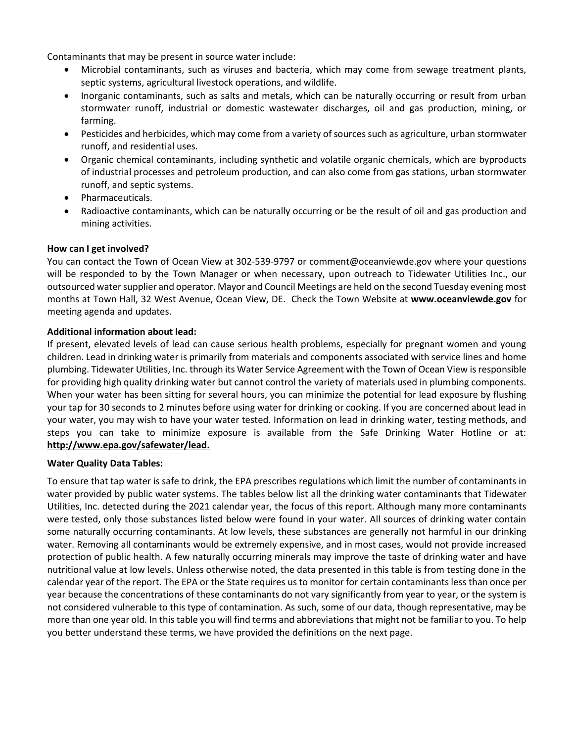Contaminants that may be present in source water include:

- Microbial contaminants, such as viruses and bacteria, which may come from sewage treatment plants, septic systems, agricultural livestock operations, and wildlife.
- Inorganic contaminants, such as salts and metals, which can be naturally occurring or result from urban stormwater runoff, industrial or domestic wastewater discharges, oil and gas production, mining, or farming.
- Pesticides and herbicides, which may come from a variety of sources such as agriculture, urban stormwater runoff, and residential uses.
- Organic chemical contaminants, including synthetic and volatile organic chemicals, which are byproducts of industrial processes and petroleum production, and can also come from gas stations, urban stormwater runoff, and septic systems.
- Pharmaceuticals.
- Radioactive contaminants, which can be naturally occurring or be the result of oil and gas production and mining activities.

#### **How can I get involved?**

You can contact the Town of Ocean View at 302-539-9797 or comment@oceanviewde.gov where your questions will be responded to by the Town Manager or when necessary, upon outreach to Tidewater Utilities Inc., our outsourced water supplier and operator. Mayor and Council Meetings are held on the second Tuesday evening most months at Town Hall, 32 West Avenue, Ocean View, DE. Check the Town Website at **[www.oceanviewde.gov](http://www.oceanviewde.gov/)** for meeting agenda and updates.

## **Additional information about lead:**

If present, elevated levels of lead can cause serious health problems, especially for pregnant women and young children. Lead in drinking water is primarily from materials and components associated with service lines and home plumbing. Tidewater Utilities, Inc. through its Water Service Agreement with the Town of Ocean View is responsible for providing high quality drinking water but cannot control the variety of materials used in plumbing components. When your water has been sitting for several hours, you can minimize the potential for lead exposure by flushing your tap for 30 seconds to 2 minutes before using water for drinking or cooking. If you are concerned about lead in your water, you may wish to have your water tested. Information on lead in drinking water, testing methods, and steps you can take to minimize exposure is available from the Safe Drinking Water Hotline or at: **[http://www.epa.gov/safewater/lead.](http://www.epa.gov/safewater/lead)**

#### **Water Quality Data Tables:**

To ensure that tap water is safe to drink, the EPA prescribes regulations which limit the number of contaminants in water provided by public water systems. The tables below list all the drinking water contaminants that Tidewater Utilities, Inc. detected during the 2021 calendar year, the focus of this report. Although many more contaminants were tested, only those substances listed below were found in your water. All sources of drinking water contain some naturally occurring contaminants. At low levels, these substances are generally not harmful in our drinking water. Removing all contaminants would be extremely expensive, and in most cases, would not provide increased protection of public health. A few naturally occurring minerals may improve the taste of drinking water and have nutritional value at low levels. Unless otherwise noted, the data presented in this table is from testing done in the calendar year of the report. The EPA or the State requires us to monitor for certain contaminants less than once per year because the concentrations of these contaminants do not vary significantly from year to year, or the system is not considered vulnerable to this type of contamination. As such, some of our data, though representative, may be more than one year old. In this table you will find terms and abbreviations that might not be familiar to you. To help you better understand these terms, we have provided the definitions on the next page.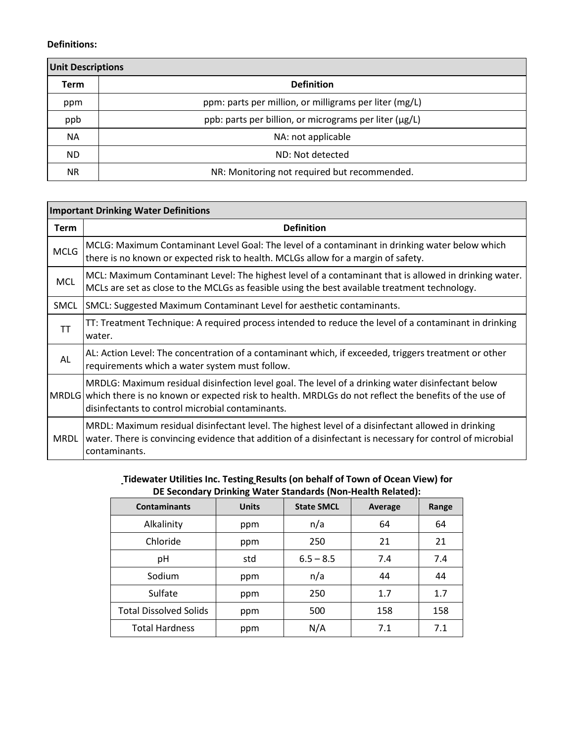#### **Definitions:**

| <b>Unit Descriptions</b> |                                                        |  |  |  |  |  |
|--------------------------|--------------------------------------------------------|--|--|--|--|--|
| <b>Term</b>              | <b>Definition</b>                                      |  |  |  |  |  |
| ppm                      | ppm: parts per million, or milligrams per liter (mg/L) |  |  |  |  |  |
| ppb                      | ppb: parts per billion, or micrograms per liter (µg/L) |  |  |  |  |  |
| <b>NA</b>                | NA: not applicable                                     |  |  |  |  |  |
| ND.                      | ND: Not detected                                       |  |  |  |  |  |
| NR.                      | NR: Monitoring not required but recommended.           |  |  |  |  |  |

# **Important Drinking Water Definitions Term Definition** MCLG: Maximum Contaminant Level Goal: The level of a contaminant in drinking water below which there is no known or expected risk to health. MCLGs allow for a margin of safety. MCL: Maximum Contaminant Level: The highest level of a contaminant that is allowed in drinking water. MCLs are set as close to the MCLGs as feasible using the best available treatment technology. SMCL SMCL: Suggested Maximum Contaminant Level for aesthetic contaminants.  $T$  TT: Treatment Technique: A required process intended to reduce the level of a contaminant in drinking water. AL AL: Action Level: The concentration of a contaminant which, if exceeded, triggers treatment or other requirements which a water system must follow. MRDLG which there is no known or expected risk to health. MRDLGs do not reflect the benefits of the use of MRDLG: Maximum residual disinfection level goal. The level of a drinking water disinfectant below disinfectants to control microbial contaminants. MRDL |water. There is convincing evidence that addition of a disinfectant is necessary for control of microbial MRDL: Maximum residual disinfectant level. The highest level of a disinfectant allowed in drinking contaminants.

#### **Tidewater Utilities Inc. Testing Results (on behalf of Town of Ocean View) for DE Secondary Drinking Water Standards (Non-Health Related):**

| <b>Contaminants</b>           | <b>Units</b> | <b>State SMCL</b> | Average | Range |
|-------------------------------|--------------|-------------------|---------|-------|
| Alkalinity                    | ppm          | n/a               | 64      | 64    |
| Chloride                      | ppm          | 250               | 21      | 21    |
| pH                            | std          | $6.5 - 8.5$       | 7.4     | 7.4   |
| Sodium                        | ppm          | n/a               | 44      | 44    |
| Sulfate                       | ppm          | 250               | 1.7     | 1.7   |
| <b>Total Dissolved Solids</b> | ppm          | 500               | 158     | 158   |
| <b>Total Hardness</b>         | ppm          | N/A               | 7.1     | 7.1   |